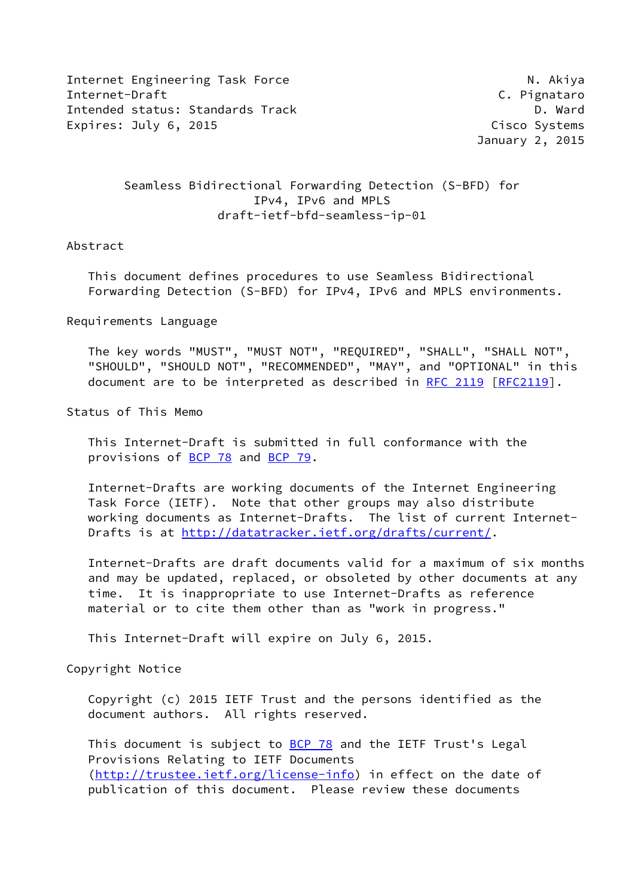Internet Engineering Task Force N. Akiya Internet-Draft C. Pignataro Intended status: Standards Track D. Ward Expires: July 6, 2015 **Cisco Systems** 

January 2, 2015

## Seamless Bidirectional Forwarding Detection (S-BFD) for IPv4, IPv6 and MPLS draft-ietf-bfd-seamless-ip-01

## Abstract

 This document defines procedures to use Seamless Bidirectional Forwarding Detection (S-BFD) for IPv4, IPv6 and MPLS environments.

Requirements Language

 The key words "MUST", "MUST NOT", "REQUIRED", "SHALL", "SHALL NOT", "SHOULD", "SHOULD NOT", "RECOMMENDED", "MAY", and "OPTIONAL" in this document are to be interpreted as described in [RFC 2119 \[RFC2119](https://datatracker.ietf.org/doc/pdf/rfc2119)].

Status of This Memo

 This Internet-Draft is submitted in full conformance with the provisions of [BCP 78](https://datatracker.ietf.org/doc/pdf/bcp78) and [BCP 79](https://datatracker.ietf.org/doc/pdf/bcp79).

 Internet-Drafts are working documents of the Internet Engineering Task Force (IETF). Note that other groups may also distribute working documents as Internet-Drafts. The list of current Internet- Drafts is at<http://datatracker.ietf.org/drafts/current/>.

 Internet-Drafts are draft documents valid for a maximum of six months and may be updated, replaced, or obsoleted by other documents at any time. It is inappropriate to use Internet-Drafts as reference material or to cite them other than as "work in progress."

This Internet-Draft will expire on July 6, 2015.

Copyright Notice

 Copyright (c) 2015 IETF Trust and the persons identified as the document authors. All rights reserved.

This document is subject to **[BCP 78](https://datatracker.ietf.org/doc/pdf/bcp78)** and the IETF Trust's Legal Provisions Relating to IETF Documents [\(http://trustee.ietf.org/license-info](http://trustee.ietf.org/license-info)) in effect on the date of publication of this document. Please review these documents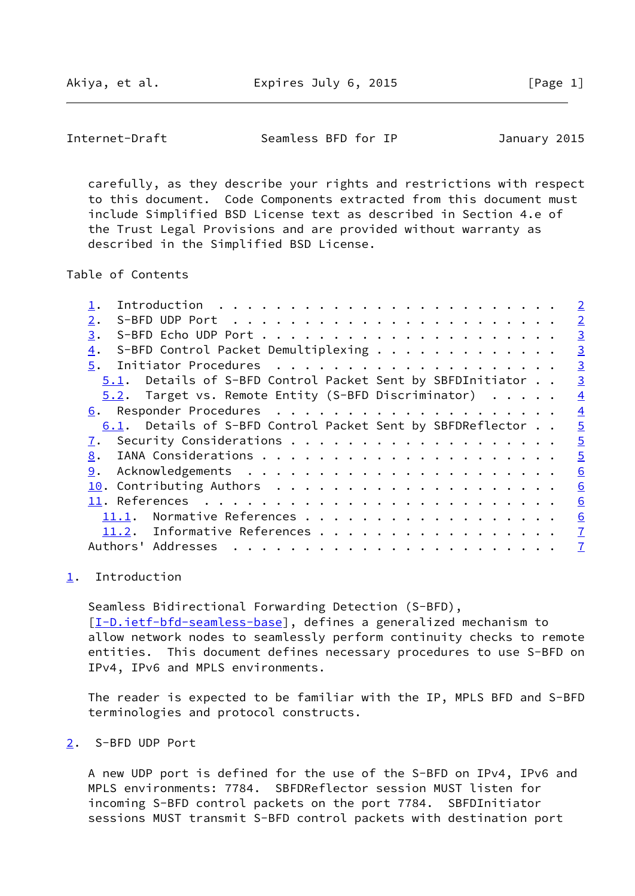Akiya, et al. Expires July 6, 2015 [Page 1]

<span id="page-1-1"></span>Internet-Draft Seamless BFD for IP January 2015

 carefully, as they describe your rights and restrictions with respect to this document. Code Components extracted from this document must include Simplified BSD License text as described in Section 4.e of the Trust Legal Provisions and are provided without warranty as described in the Simplified BSD License.

Table of Contents

|                                                            | $\overline{2}$ |
|------------------------------------------------------------|----------------|
| 2.                                                         | $\overline{2}$ |
| 3.                                                         | $\overline{3}$ |
| S-BFD Control Packet Demultiplexing<br>4.                  | $\overline{3}$ |
| 5.                                                         | $\overline{3}$ |
| 5.1. Details of S-BFD Control Packet Sent by SBFDInitiator | $\overline{3}$ |
| 5.2. Target vs. Remote Entity (S-BFD Discriminator)        | $\overline{4}$ |
| 6.                                                         | $\overline{4}$ |
| 6.1. Details of S-BFD Control Packet Sent by SBFDReflector | $\overline{5}$ |
| 7.                                                         | $\overline{5}$ |
| 8.                                                         | $\overline{5}$ |
| 9.                                                         | 6              |
|                                                            | 6              |
|                                                            | 6              |
| Normative References<br>11.1.                              | 6              |
| 11.2. Informative References                               | $\overline{1}$ |
| Authors' Addresses                                         | $\overline{1}$ |
|                                                            |                |

## <span id="page-1-0"></span>[1](#page-1-0). Introduction

 Seamless Bidirectional Forwarding Detection (S-BFD), [\[I-D.ietf-bfd-seamless-base\]](#page-6-5), defines a generalized mechanism to allow network nodes to seamlessly perform continuity checks to remote entities. This document defines necessary procedures to use S-BFD on IPv4, IPv6 and MPLS environments.

 The reader is expected to be familiar with the IP, MPLS BFD and S-BFD terminologies and protocol constructs.

<span id="page-1-2"></span>[2](#page-1-2). S-BFD UDP Port

 A new UDP port is defined for the use of the S-BFD on IPv4, IPv6 and MPLS environments: 7784. SBFDReflector session MUST listen for incoming S-BFD control packets on the port 7784. SBFDInitiator sessions MUST transmit S-BFD control packets with destination port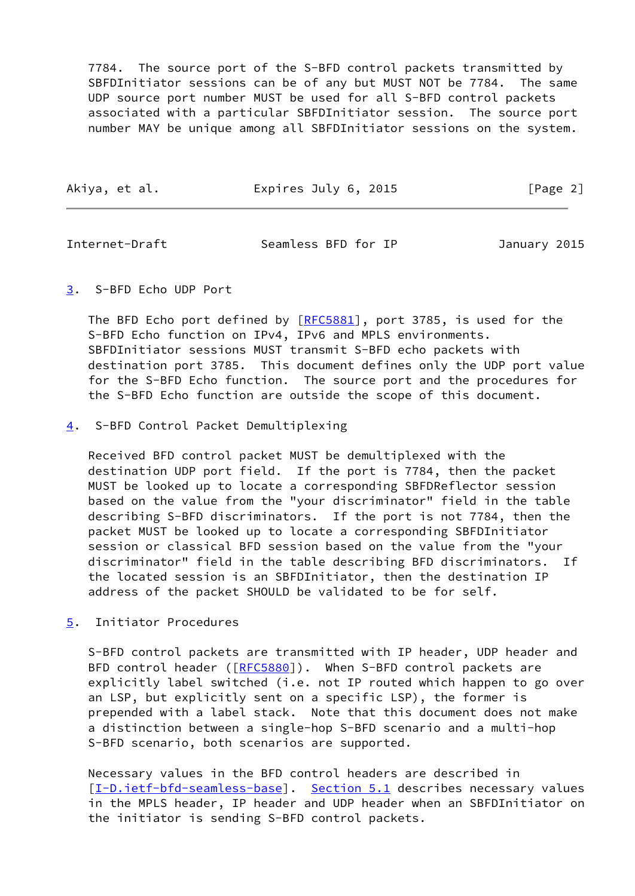7784. The source port of the S-BFD control packets transmitted by SBFDInitiator sessions can be of any but MUST NOT be 7784. The same UDP source port number MUST be used for all S-BFD control packets associated with a particular SBFDInitiator session. The source port number MAY be unique among all SBFDInitiator sessions on the system.

| Akiya, et al. | Expires July 6, 2015 | [Page 2] |
|---------------|----------------------|----------|
|               |                      |          |

<span id="page-2-1"></span>Internet-Draft Seamless BFD for IP January 2015

<span id="page-2-0"></span>[3](#page-2-0). S-BFD Echo UDP Port

The BFD Echo port defined by [\[RFC5881](https://datatracker.ietf.org/doc/pdf/rfc5881)], port 3785, is used for the S-BFD Echo function on IPv4, IPv6 and MPLS environments. SBFDInitiator sessions MUST transmit S-BFD echo packets with destination port 3785. This document defines only the UDP port value for the S-BFD Echo function. The source port and the procedures for the S-BFD Echo function are outside the scope of this document.

<span id="page-2-2"></span>[4](#page-2-2). S-BFD Control Packet Demultiplexing

 Received BFD control packet MUST be demultiplexed with the destination UDP port field. If the port is 7784, then the packet MUST be looked up to locate a corresponding SBFDReflector session based on the value from the "your discriminator" field in the table describing S-BFD discriminators. If the port is not 7784, then the packet MUST be looked up to locate a corresponding SBFDInitiator session or classical BFD session based on the value from the "your discriminator" field in the table describing BFD discriminators. If the located session is an SBFDInitiator, then the destination IP address of the packet SHOULD be validated to be for self.

<span id="page-2-3"></span>[5](#page-2-3). Initiator Procedures

 S-BFD control packets are transmitted with IP header, UDP header and BFD control header ([\[RFC5880](https://datatracker.ietf.org/doc/pdf/rfc5880)]). When S-BFD control packets are explicitly label switched (i.e. not IP routed which happen to go over an LSP, but explicitly sent on a specific LSP), the former is prepended with a label stack. Note that this document does not make a distinction between a single-hop S-BFD scenario and a multi-hop S-BFD scenario, both scenarios are supported.

 Necessary values in the BFD control headers are described in [\[I-D.ietf-bfd-seamless-base\]](#page-6-5). [Section 5.1](#page-3-0) describes necessary values in the MPLS header, IP header and UDP header when an SBFDInitiator on the initiator is sending S-BFD control packets.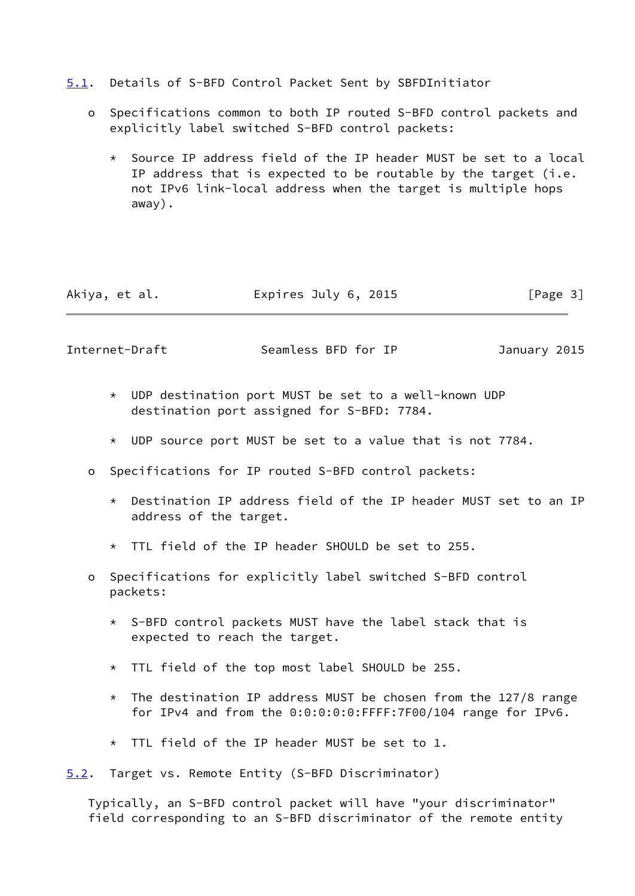- <span id="page-3-0"></span>[5.1](#page-3-0). Details of S-BFD Control Packet Sent by SBFDInitiator
	- o Specifications common to both IP routed S-BFD control packets and explicitly label switched S-BFD control packets:
		- \* Source IP address field of the IP header MUST be set to a local IP address that is expected to be routable by the target (i.e. not IPv6 link-local address when the target is multiple hops away).

| Akiya, et al. | Expires July 6, 2015 | [Page 3] |
|---------------|----------------------|----------|
|---------------|----------------------|----------|

<span id="page-3-2"></span>Internet-Draft Seamless BFD for IP January 2015

- \* UDP destination port MUST be set to a well-known UDP destination port assigned for S-BFD: 7784.
- \* UDP source port MUST be set to a value that is not 7784.
- o Specifications for IP routed S-BFD control packets:
	- \* Destination IP address field of the IP header MUST set to an IP address of the target.
	- \* TTL field of the IP header SHOULD be set to 255.
- o Specifications for explicitly label switched S-BFD control packets:
	- \* S-BFD control packets MUST have the label stack that is expected to reach the target.
	- \* TTL field of the top most label SHOULD be 255.
	- $*$  The destination IP address MUST be chosen from the 127/8 range for IPv4 and from the 0:0:0:0:0:FFFF:7F00/104 range for IPv6.
	- \* TTL field of the IP header MUST be set to 1.
- <span id="page-3-1"></span>[5.2](#page-3-1). Target vs. Remote Entity (S-BFD Discriminator)

 Typically, an S-BFD control packet will have "your discriminator" field corresponding to an S-BFD discriminator of the remote entity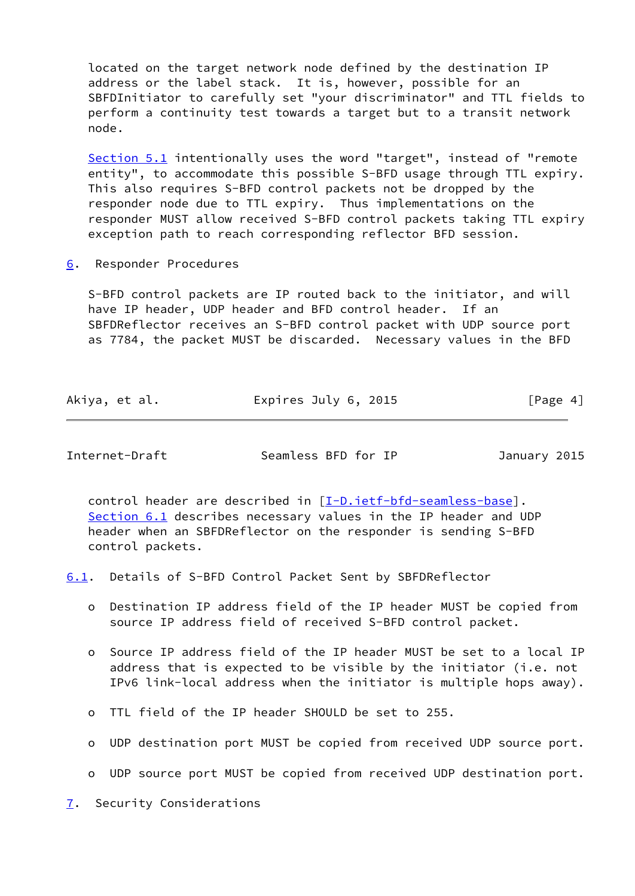located on the target network node defined by the destination IP address or the label stack. It is, however, possible for an SBFDInitiator to carefully set "your discriminator" and TTL fields to perform a continuity test towards a target but to a transit network node.

 [Section 5.1](#page-3-0) intentionally uses the word "target", instead of "remote entity", to accommodate this possible S-BFD usage through TTL expiry. This also requires S-BFD control packets not be dropped by the responder node due to TTL expiry. Thus implementations on the responder MUST allow received S-BFD control packets taking TTL expiry exception path to reach corresponding reflector BFD session.

<span id="page-4-0"></span>[6](#page-4-0). Responder Procedures

 S-BFD control packets are IP routed back to the initiator, and will have IP header, UDP header and BFD control header. If an SBFDReflector receives an S-BFD control packet with UDP source port as 7784, the packet MUST be discarded. Necessary values in the BFD

| Akiya, et al. | Expires July 6, 2015 | [Page 4] |
|---------------|----------------------|----------|
|---------------|----------------------|----------|

<span id="page-4-2"></span>Internet-Draft Seamless BFD for IP January 2015

 control header are described in [\[I-D.ietf-bfd-seamless-base\]](#page-6-5). [Section 6.1](#page-4-1) describes necessary values in the IP header and UDP header when an SBFDReflector on the responder is sending S-BFD control packets.

<span id="page-4-1"></span>[6.1](#page-4-1). Details of S-BFD Control Packet Sent by SBFDReflector

- o Destination IP address field of the IP header MUST be copied from source IP address field of received S-BFD control packet.
- o Source IP address field of the IP header MUST be set to a local IP address that is expected to be visible by the initiator (i.e. not IPv6 link-local address when the initiator is multiple hops away).
- o TTL field of the IP header SHOULD be set to 255.
- o UDP destination port MUST be copied from received UDP source port.
- o UDP source port MUST be copied from received UDP destination port.

<span id="page-4-3"></span>[7](#page-4-3). Security Considerations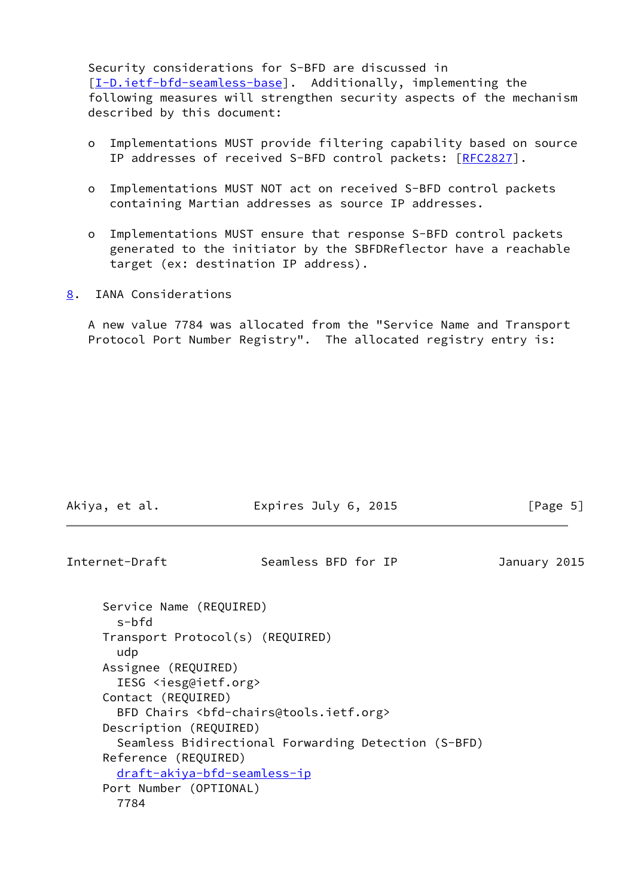Security considerations for S-BFD are discussed in [\[I-D.ietf-bfd-seamless-base\]](#page-6-5). Additionally, implementing the following measures will strengthen security aspects of the mechanism described by this document:

- o Implementations MUST provide filtering capability based on source IP addresses of received S-BFD control packets: [[RFC2827\]](https://datatracker.ietf.org/doc/pdf/rfc2827).
- o Implementations MUST NOT act on received S-BFD control packets containing Martian addresses as source IP addresses.
- o Implementations MUST ensure that response S-BFD control packets generated to the initiator by the SBFDReflector have a reachable target (ex: destination IP address).
- <span id="page-5-0"></span>[8](#page-5-0). IANA Considerations

 A new value 7784 was allocated from the "Service Name and Transport Protocol Port Number Registry". The allocated registry entry is:

<span id="page-5-1"></span>

| Internet-Draft                                                                           | Seamless BFD for IP                                 | January 2015 |
|------------------------------------------------------------------------------------------|-----------------------------------------------------|--------------|
| Service Name (REQUIRED)<br>s-bfd                                                         |                                                     |              |
| Transport Protocol(s) (REQUIRED)<br>udp                                                  |                                                     |              |
| Assignee (REQUIRED)<br>IESG <iesg@ietf.org></iesg@ietf.org>                              |                                                     |              |
| Contact (REQUIRED)<br>BFD Chairs <bfd-chairs@tools.ietf.org></bfd-chairs@tools.ietf.org> |                                                     |              |
| Description (REQUIRED)                                                                   |                                                     |              |
| Reference (REQUIRED)                                                                     | Seamless Bidirectional Forwarding Detection (S-BFD) |              |
| draft-akiya-bfd-seamless-ip                                                              |                                                     |              |
| Port Number (OPTIONAL)<br>7784                                                           |                                                     |              |

Akiya, et al. **Expires July 6, 2015** [Page 5]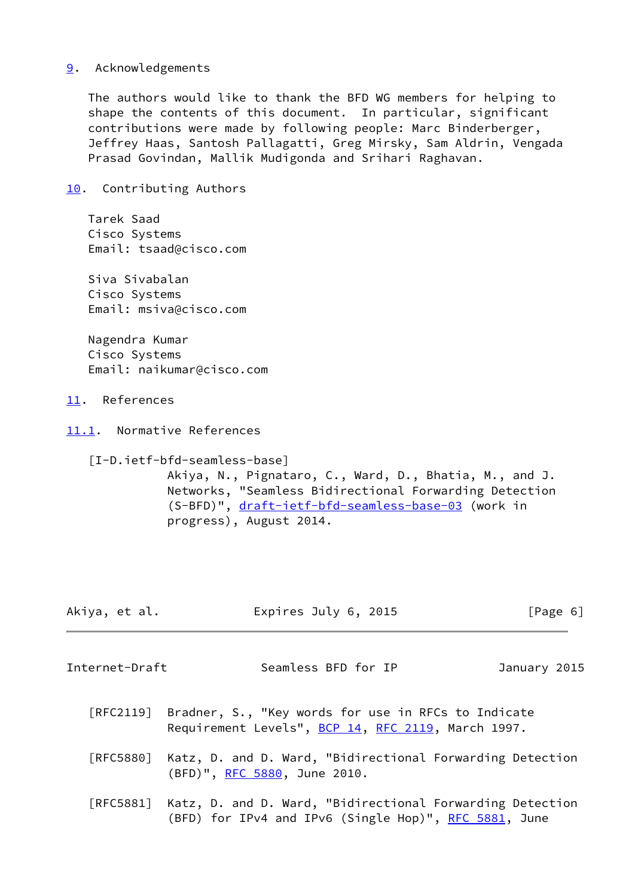## <span id="page-6-0"></span>[9](#page-6-0). Acknowledgements

 The authors would like to thank the BFD WG members for helping to shape the contents of this document. In particular, significant contributions were made by following people: Marc Binderberger, Jeffrey Haas, Santosh Pallagatti, Greg Mirsky, Sam Aldrin, Vengada Prasad Govindan, Mallik Mudigonda and Srihari Raghavan.

<span id="page-6-1"></span>[10.](#page-6-1) Contributing Authors

 Tarek Saad Cisco Systems Email: tsaad@cisco.com

 Siva Sivabalan Cisco Systems Email: msiva@cisco.com

 Nagendra Kumar Cisco Systems Email: naikumar@cisco.com

<span id="page-6-2"></span>[11.](#page-6-2) References

<span id="page-6-3"></span>[11.1](#page-6-3). Normative References

<span id="page-6-5"></span> [I-D.ietf-bfd-seamless-base] Akiya, N., Pignataro, C., Ward, D., Bhatia, M., and J. Networks, "Seamless Bidirectional Forwarding Detection (S-BFD)", [draft-ietf-bfd-seamless-base-03](https://datatracker.ietf.org/doc/pdf/draft-ietf-bfd-seamless-base-03) (work in progress), August 2014.

<span id="page-6-4"></span>

| Akiya, et al.  | Expires July 6, 2015 | [Page 6]     |
|----------------|----------------------|--------------|
| Internet-Draft | Seamless BFD for IP  | January 2015 |

- [RFC2119] Bradner, S., "Key words for use in RFCs to Indicate Requirement Levels", [BCP 14](https://datatracker.ietf.org/doc/pdf/bcp14), [RFC 2119](https://datatracker.ietf.org/doc/pdf/rfc2119), March 1997.
- [RFC5880] Katz, D. and D. Ward, "Bidirectional Forwarding Detection (BFD)", [RFC 5880,](https://datatracker.ietf.org/doc/pdf/rfc5880) June 2010.
- [RFC5881] Katz, D. and D. Ward, "Bidirectional Forwarding Detection (BFD) for IPv4 and IPv6 (Single Hop)", [RFC 5881](https://datatracker.ietf.org/doc/pdf/rfc5881), June